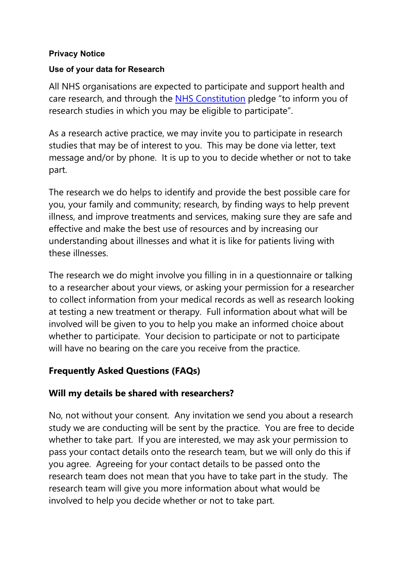#### **Privacy Notice**

### **Use of your data for Research**

All NHS organisations are expected to participate and support health and care research, and through the [NHS Constitution](https://www.gov.uk/government/publications/the-nhs-constitution-for-england/the-nhs-constitution-for-england) pledge "to inform you of research studies in which you may be eligible to participate".

As a research active practice, we may invite you to participate in research studies that may be of interest to you. This may be done via letter, text message and/or by phone. It is up to you to decide whether or not to take part.

The research we do helps to identify and provide the best possible care for you, your family and community; research, by finding ways to help prevent illness, and improve treatments and services, making sure they are safe and effective and make the best use of resources and by increasing our understanding about illnesses and what it is like for patients living with these illnesses.

The research we do might involve you filling in in a questionnaire or talking to a researcher about your views, or asking your permission for a researcher to collect information from your medical records as well as research looking at testing a new treatment or therapy. Full information about what will be involved will be given to you to help you make an informed choice about whether to participate. Your decision to participate or not to participate will have no bearing on the care you receive from the practice.

# **Frequently Asked Questions (FAQs)**

### **Will my details be shared with researchers?**

No, not without your consent. Any invitation we send you about a research study we are conducting will be sent by the practice. You are free to decide whether to take part. If you are interested, we may ask your permission to pass your contact details onto the research team, but we will only do this if you agree. Agreeing for your contact details to be passed onto the research team does not mean that you have to take part in the study. The research team will give you more information about what would be involved to help you decide whether or not to take part.